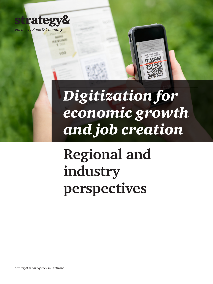

ESUME

*Digitization for economic growth and job creation*

# **Regional and industry perspectives**

*Strategy& is part of the PwC network*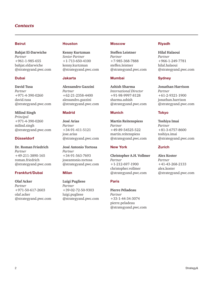### *Contacts*

### Beirut

**Bahjat El-Darwiche** *Partner*  +961-1-985-655 bahjat.eldarwiche @strategyand.pwc.com

### Dubai

**David Tusa**  *Partner*  +971-4-390-0260 david.tusa @strategyand.pwc.com

**Milind Singh**  *Principal* +971-4-390-0260 milind.singh @strategyand.pwc.com

### Düsseldorf

**Dr. Roman Friedrich** *Partner* +49-211-3890-165 roman.friedrich @strategyand.pwc.com

### Frankfurt/Dubai

**Olaf Acker**  *Partner* +971-50-617-2603 olaf.acker @strategyand.pwc.com

#### Houston

**Kenny Kurtzman**  *Senior Partner* +1-713-650-4100 kenny.kurtzman @strategyand.pwc.com

#### Jakarta

**Alessandro Gazzini**  *Partner* +62-21-2358-4400 alessandro.gazzini @strategyand.pwc.com

#### Madrid

**José Arias**  *Partner*  +34-91-411-5121 jose.arias @strategyand.pwc.com

**José Antonio Tortosa**  *Partner* +34-91-563-7693 joseantonio.tortosa @strategyand.pwc.com

#### Milan

**Luigi Pugliese**  *Partner*  +39-02-72-50-9303 luigi.pugliese @strategyand.pwc.com

#### **Moscow**

**Steffen Leistner**  *Partner*  +7-985-368-7888 steffen.leistner @strategyand.pwc.com

### Mumbai

**Ashish Sharma**  *International Director*  +91-98-9997-8128 sharma.ashish @strategyand.pwc.com

#### Munich

**Martin Reitenspiess**  *Partner* +49-89-54525-522 martin.reitenspiess @strategyand.pwc.com

#### New York

**Christopher A.H. Vollmer**  *Partner*  +1-212-697-1900 christopher.vollmer @strategyand.pwc.com

### Paris

**Pierre Péladeau**  *Partner*  +33-1-44-34-3074 pierre.peladeau @strategyand.pwc.com

### Riyadh

**Hilal Halaoui**  *Partner* +966-1-249-7781 hilal.halaoui @strategyand.pwc.com

### **Sydney**

**Jonathan Harrison**  *Partner*  +61-2-9321-1900 jonathan.harrison @strategyand.pwc.com

### Tokyo

**Toshiya Imai**  *Partner* +81-3-6757-8600 toshiya.imai @strategyand.pwc.com

#### Zurich

**Alex Koster**  *Partner* +41-43-268-2133 alex.koster @strategyand.pwc.com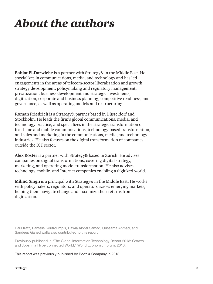## *About the authors*

**Bahjat El-Darwiche** is a partner with Strategy& in the Middle East. He specializes in communications, media, and technology and has led engagements in the areas of telecom-sector liberalization and growth strategy development, policymaking and regulatory management, privatization, business development and strategic investments, digitization, corporate and business planning, competitive readiness, and governance, as well as operating models and restructuring.

**Roman Friedrich** is a Strategy& partner based in Düsseldorf and Stockholm. He leads the firm's global communications, media, and technology practice, and specializes in the strategic transformation of fixed-line and mobile communications, technology-based transformation, and sales and marketing in the communications, media, and technology industries. He also focuses on the digital transformation of companies outside the ICT sector.

**Alex Koster** is a partner with Strategy& based in Zurich. He advises companies on digital transformations, covering digital strategy, marketing, and operating model transformation. He also advises technology, mobile, and Internet companies enabling a digitized world.

**Milind Singh** is a principal with Strategy& in the Middle East. He works with policymakers, regulators, and operators across emerging markets, helping them navigate change and maximize their returns from digitization.

Raul Katz, Pantelis Koutroumpis, Rawia Abdel Samad, Oussama Ahmad, and Sandeep Ganediwalla also contributed to this report.

Previously published in "The Global Information Technology Report 2013: Growth and Jobs in a Hyperconnected World," World Economic Forum, 2013.

This report was previously published by Booz & Company in 2013.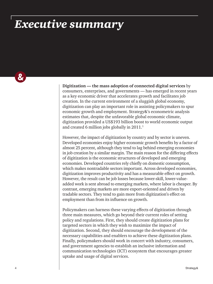## *Executive summary*

Ö.

**Digitization — the mass adoption of connected digital services** by consumers, enterprises, and governments — has emerged in recent years as a key economic driver that accelerates growth and facilitates job creation. In the current environment of a sluggish global economy, digitization can play an important role in assisting policymakers to spur economic growth and employment. Strategy&'s econometric analysis estimates that, despite the unfavorable global economic climate, digitization provided a US\$193 billion boost to world economic output and created 6 million jobs globally in 2011.<sup>1</sup>

However, the impact of digitization by country and by sector is uneven. Developed economies enjoy higher economic growth benefits by a factor of almost 25 percent, although they tend to lag behind emerging economies in job creation by a similar margin. The main reason for the differing effects of digitization is the economic structures of developed and emerging economies. Developed countries rely chiefly on domestic consumption, which makes nontradable sectors important. Across developed economies, digitization improves productivity and has a measurable effect on growth. However, the result can be job losses because lower-skill, lower-valueadded work is sent abroad to emerging markets, where labor is cheaper. By contrast, emerging markets are more export-oriented and driven by tradable sectors. They tend to gain more from digitization's effect on employment than from its influence on growth.

Policymakers can harness these varying effects of digitization through three main measures, which go beyond their current roles of setting policy and regulations. First, they should create digitization plans for targeted sectors in which they wish to maximize the impact of digitization. Second, they should encourage the development of the necessary capabilities and enablers to achieve these digitization plans. Finally, policymakers should work in concert with industry, consumers, and government agencies to establish an inclusive information and communication technologies (ICT) ecosystem that encourages greater uptake and usage of digital services.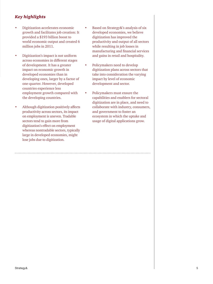## *Key highlights*

- Digitization accelerates economic growth and facilitates job creation: It provided a \$193 billion boost to world economic output and created 6 million jobs in 2011.
- Digitization's impact is not uniform across economies in different stages of development. It has a greater impact on economic growth in developed economies than in developing ones, larger by a factor of one-quarter. However, developed countries experience less employment growth compared with the developing countries.
- Although digitization positively affects productivity across sectors, its impact on employment is uneven. Tradable sectors tend to gain more from digitization's effect on employment whereas nontradable sectors, typically large in developed economies, might lose jobs due to digitization.
- Based on Strategy&'s analysis of six developed economies, we believe digitization has improved the productivity and output of all sectors while resulting in job losses in manufacturing and financial services and gains in retail and hospitality.
- Policymakers need to develop digitization plans across sectors that take into consideration the varying impact by level of economic development and sector.
- Policymakers must ensure the capabilities and enablers for sectoral digitization are in place, and need to collaborate with industry, consumers, and government to foster an ecosystem in which the uptake and usage of digital applications grow.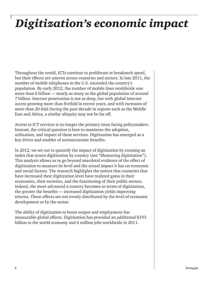## *Digitization's economic impact*

Throughout the world, ICTs continue to proliferate at breakneck speed, but their effects are uneven across countries and sectors. In late 2011, the number of mobile telephones in the U.S. exceeded the country's population. By early 2012, the number of mobile lines worldwide was more than 6 billion — nearly as many as the global population of around 7 billion. Internet penetration is not as deep, but with global Internet access growing more than fivefold in recent years, and with increases of more than 20-fold during the past decade in regions such as the Middle East and Africa, a similar ubiquity may not be far off.

Access to ICT services is no longer the primary issue facing policymakers. Instead, the critical question is how to maximize the adoption, utilization, and impact of these services. Digitization has emerged as a key driver and enabler of socioeconomic benefits.

In 2012, we set out to quantify the impact of digitization by creating an index that scores digitization by country (see "Measuring digitization"). This analysis allows us to go beyond anecdotal evidence of the effect of digitization to measure its level and the actual impact it has on economic and social factors. The research highlights the notion that countries that have increased their digitization level have realized gains in their economies, their societies, and the functioning of their public sectors. Indeed, the more advanced a country becomes in terms of digitization, the greater the benefits — increased digitization yields improving returns. These effects are not evenly distributed by the level of economic development or by the sector.

The ability of digitization to boost output and employment has measurable global effects. Digitization has provided an additional \$193 billion to the world economy and 6 million jobs worldwide in 2011.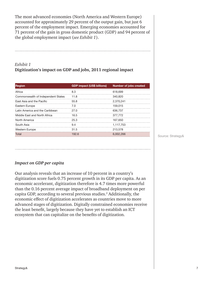The most advanced economies (North America and Western Europe) accounted for approximately 29 percent of the output gain, but just 6 percent of the employment impact. Emerging economies accounted for 71 percent of the gain in gross domestic product (GDP) and 94 percent of the global employment impact (*see Exhibit 1*).

## *Exhibit 1* **Digitization's impact on GDP and jobs, 2011 regional impact**

| <b>Region</b>                      | <b>GDP impact (US\$ billions)</b> | <b>Number of jobs created</b> |
|------------------------------------|-----------------------------------|-------------------------------|
| Africa                             | 8.3                               | 618.699                       |
| Commonwealth of Independent States | 11.8                              | 340,820                       |
| <b>Fast Asia and the Pacific</b>   | 55.8                              | 2.370.241                     |
| Eastern Europe                     | 7.0                               | 159.015                       |
| Latin America and the Caribbean    | 27.0                              | 636.737                       |
| Middle East and North Africa       | 16.5                              | 377.772                       |
| North America                      | 25.3                              | 167.650                       |
| South Asia                         | 9.4                               | 1.117.753                     |
| <b>Western Europe</b>              | 31.5                              | 213,578                       |
| Total                              | 192.6                             | 6.002.266                     |

Source: Strategy&

## *Impact on GDP per capita*

Our analysis reveals that an increase of 10 percent in a country's digitization score fuels 0.75 percent growth in its GDP per capita. As an economic accelerant, digitization therefore is 4.7 times more powerful than the 0.16 percent average impact of broadband deployment on per capita GDP, according to several previous studies.<sup>2</sup> Additionally, the economic effect of digitization accelerates as countries move to more advanced stages of digitization. Digitally constrained economies receive the least benefit, largely because they have yet to establish an ICT ecosystem that can capitalize on the benefits of digitization.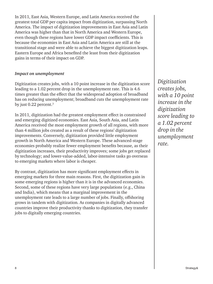In 2011, East Asia, Western Europe, and Latin America received the greatest total GDP per capita impact from digitization, surpassing North America. The impact of digitization improvements in East Asia and Latin America was higher than that in North America and Western Europe, even though these regions have lower GDP impact coefficients. This is because the economies in East Asia and Latin America are still at the transitional stage and were able to achieve the biggest digitization leaps. Eastern Europe and Africa benefited the least from their digitization gains in terms of their impact on GDP.

### *Impact on unemployment*

Digitization creates jobs, with a 10 point increase in the digitization score leading to a 1.02 percent drop in the unemployment rate. This is 4.6 times greater than the effect that the widespread adoption of broadband has on reducing unemployment; broadband cuts the unemployment rate by just 0.22 percent.<sup>3</sup>

In 2011, digitization had the greatest employment effect in constrained and emerging digitized economies. East Asia, South Asia, and Latin America received the most employment growth of all regions, with more than 4 million jobs created as a result of these regions' digitization improvements. Conversely, digitization provided little employment growth in North America and Western Europe. These advanced-stage economies probably realize fewer employment benefits because, as their digitization increases, their productivity improves; some jobs get replaced by technology; and lower-value-added, labor-intensive tasks go overseas to emerging markets where labor is cheaper.

By contrast, digitization has more significant employment effects in emerging markets for three main reasons. First, the digitization gain in some emerging regions is higher than it is in the advanced economies. Second, some of these regions have very large populations (e.g., China and India), which means that a marginal improvement in the unemployment rate leads to a large number of jobs. Finally, offshoring grows in tandem with digitization. As companies in digitally advanced countries improve their productivity thanks to digitization, they transfer jobs to digitally emerging countries.

*Digitization creates jobs, with a 10 point increase in the digitization score leading to a 1.02 percent drop in the unemployment rate.*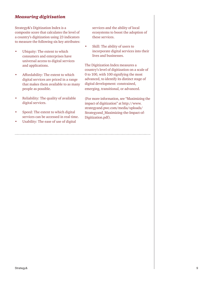## *Measuring digitization*

Strategy&'s Digitization Index is a composite score that calculates the level of a country's digitization using 23 indicators to measure the following six key attributes:

- Ubiquity: The extent to which consumers and enterprises have universal access to digital services and applications.
- Affordability: The extent to which digital services are priced in a range that makes them available to as many people as possible.
- Reliability: The quality of available digital services.
- Speed: The extent to which digital services can be accessed in real time.
- Usability: The ease of use of digital

services and the ability of local ecosystems to boost the adoption of these services.

• Skill: The ability of users to incorporate digital services into their lives and businesses.

The Digitization Index measures a country's level of digitization on a scale of 0 to 100, with 100 signifying the most advanced, to identify its distinct stage of digital development: constrained, emerging, transitional, or advanced.

(For more information, see "Maximizing the impact of digitization" at http://www. strategyand.pwc.com/media/uploads/ Strategyand\_Maximizing-the-Impact-of-Digitization.pdf).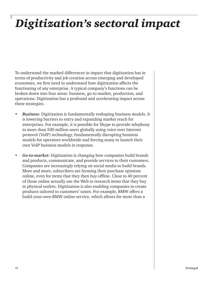## *Digitization's sectoral impact*

To understand the marked differences in impact that digitization has in terms of productivity and job creation across emerging and developed economies, we first need to understand how digitization affects the functioning of any enterprise. A typical company's functions can be broken down into four areas: business, go-to-market, production, and operations. Digitization has a profound and accelerating impact across these strategies.

- *Business:* Digitization is fundamentally reshaping business models. It is lowering barriers to entry and expanding market reach for enterprises. For example, it is possible for Skype to provide telephony to more than 500 million users globally using voice over Internet protocol (VoIP) technology, fundamentally disrupting business models for operators worldwide and forcing many to launch their own VoIP business models in response.
- *Go-to-market:* Digitization is changing how companies build brands and products, communicate, and provide services to their customers. Companies are increasingly relying on social media to build brands. More and more, subscribers are forming their purchase opinions online, even for items that they then buy offline. Close to 40 percent of those online actually use the Web to research items that they buy in physical outlets. Digitization is also enabling companies to create products tailored to customers' tastes. For example, BMW offers a build-your-own-BMW online service, which allows for more than a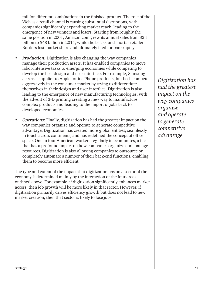million different combinations in the finished product. The role of the Web as a retail channel is causing substantial disruptions, with companies significantly expanding market reach, leading to the emergence of new winners and losers. Starting from roughly the same position in 2001, Amazon.com grew its annual sales from \$3.1 billion to \$48 billion in 2011, while the bricks-and-mortar retailer Borders lost market share and ultimately filed for bankruptcy.

- *Production:* Digitization is also changing the way companies manage their production assets. It has enabled companies to move labor-intensive tasks to emerging economies while competing to develop the best design and user interface. For example, Samsung acts as a supplier to Apple for its iPhone products, but both compete aggressively in the consumer market by trying to differentiate themselves in their design and user interface. Digitization is also leading to the emergence of new manufacturing technologies, with the advent of 3-D printing creating a new way to manufacture complex products and leading to the import of jobs back to developed economies.
- *Operations:* Finally, digitization has had the greatest impact on the way companies organize and operate to generate competitive advantage. Digitization has created more global entities, seamlessly in touch across continents, and has redefined the concept of office space. One in four American workers regularly telecommutes, a fact that has a profound impact on how companies organize and manage resources. Digitization is also allowing companies to outsource or completely automate a number of their back-end functions, enabling them to become more efficient.

The type and extent of the impact that digitization has on a sector of the economy is determined mainly by the interaction of the four areas outlined above. For example, if digitization significantly enhances market access, then job growth will be more likely in that sector. However, if digitization primarily drives efficiency growth but does not lead to new market creation, then that sector is likely to lose jobs.

*Digitization has had the greatest impact on the way companies organize and operate to generate competitive advantage.*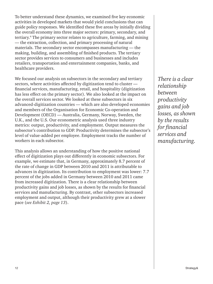To better understand these dynamics, we examined five key economic activities in developed markets that would yield conclusions that can guide policy responses. We identified these five areas by initially dividing the overall economy into three major sectors: primary, secondary, and tertiary.4 The primary sector relates to agriculture, farming, and mining — the extraction, collection, and primary processing of natural materials. The secondary sector encompasses manufacturing — the making, building, and assembling of finished products. The tertiary sector provides services to consumers and businesses and includes retailers, transportation and entertainment companies, banks, and healthcare providers.

We focused our analysis on subsectors in the secondary and tertiary sectors, where activities affected by digitization tend to cluster financial services, manufacturing, retail, and hospitality (digitization has less effect on the primary sector). We also looked at the impact on the overall services sector. We looked at these subsectors in six advanced-digitization countries — which are also developed economies and members of the Organisation for Economic Co-operation and Development (OECD) — Australia, Germany, Norway, Sweden, the U.K., and the U.S. Our econometric analysis used three industry metrics: output, productivity, and employment. Output measures the subsector's contribution to GDP. Productivity determines the subsector's level of value-added per employee. Employment tracks the number of workers in each subsector.

This analysis allows an understanding of how the positive national effect of digitization plays out differently in economic subsectors. For example, we estimate that, in Germany, approximately 8.7 percent of the rate of change in GDP between 2010 and 2011 is attributable to advances in digitization. Its contribution to employment was lower: 7.7 percent of the jobs added in Germany between 2010 and 2011 came from increased digitization. There is a clear relationship between productivity gains and job losses, as shown by the results for financial services and manufacturing. By contrast, other subsectors increased employment and output, although their productivity grew at a slower pace (*see Exhibit 2, page 13*).

*There is a clear relationship between productivity gains and job losses, as shown by the results for financial services and manufacturing.*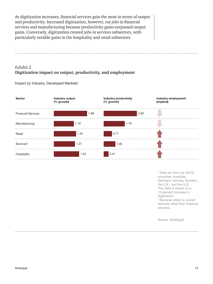As digitization increases, financial services gain the most in terms of output and productivity. Increased digitization, however, cut jobs in financial services and manufacturing because productivity gains surpassed output gains. Conversely, digitization created jobs in services subsectors, with particularly notable gains in the hospitality and retail subsectors.

## *Exhibit 2* **Digitization impact on output, productivity, and employment**

Impact by Industry, Developed Markets<sup>1</sup>



1 Data are from six OECD countries: Australia, Germany, Norway, Sweden, the U.K., and the U.S. This data is based on a 10 percent increase in digitization. 2 Services refers to overall

services other than financial services.

Source: Strategy&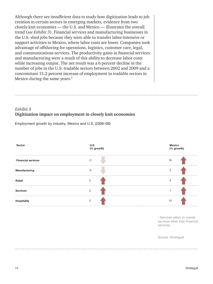Although there are insufficient data to study how digitization leads to job creation in certain sectors in emerging markets, evidence from two closely knit economies — the U.S. and Mexico — illustrates the overall trend (*see Exhibit 3*). Financial services and manufacturing businesses in the U.S. shed jobs because they were able to transfer labor-intensive or support activities to Mexico, where labor costs are lower. Companies took advantage of offshoring for operations, logistics, customer care, legal, and communications services. The productivity gains in financial services and manufacturing were a result of this ability to decrease labor costs while increasing output. The net result was a 6 percent decline in the number of jobs in the U.S. tradable sectors between 2002 and 2009 and a concomitant 15.2 percent increase of employment in tradable sectors in Mexico during the same years.<sup>5</sup>

## *Exhibit 3* **Digitization impact on employment in closely knit economies**

Employment growth by industry, Mexico and U.S. (2006–08)



<sup>1</sup> Services refers to overall services other than financial services.

Source: Strategy&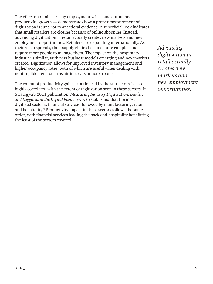The effect on retail — rising employment with some output and productivity growth — demonstrates how a proper measurement of digitization is superior to anecdotal evidence. A superficial look indicates that small retailers are closing because of online shopping. Instead, advancing digitization in retail actually creates new markets and new employment opportunities. Retailers are expanding internationally. As their reach spreads, their supply chains become more complex and require more people to manage them. The impact on the hospitality industry is similar, with new business models emerging and new markets created. Digitization allows for improved inventory management and higher occupancy rates, both of which are useful when dealing with nonfungible items such as airline seats or hotel rooms.

The extent of productivity gains experienced by the subsectors is also highly correlated with the extent of digitization seen in these sectors. In Strategy&'s 2011 publication, *Measuring Industry Digitization: Leaders and Laggards in the Digital Economy*, we established that the most digitized sector is financial services, followed by manufacturing, retail, and hospitality.<sup>6</sup> Productivity impact in these sectors follows the same order, with financial services leading the pack and hospitality benefitting the least of the sectors covered.

*Advancing digitization in retail actually creates new markets and new employment opportunities.*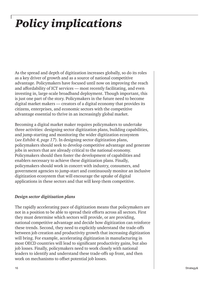## *Policy implications*

As the spread and depth of digitization increases globally, so do its roles as a key driver of growth and as a source of national competitive advantage. Policymakers have focused until now on improving the reach and affordability of ICT services — most recently facilitating, and even investing in, large-scale broadband deployment. Though important, this is just one part of the story. Policymakers in the future need to become digital market makers — creators of a digital economy that provides its citizens, enterprises, and economic sectors with the competitive advantage essential to thrive in an increasingly global market.

Becoming a digital market maker requires policymakers to undertake three activities: designing sector digitization plans, building capabilities, and jump-starting and monitoring the wider digitization ecosystem (*see Exhibit 4, page 17*). In designing sector digitization plans, policymakers should seek to develop competitive advantage and generate jobs in sectors that are already critical to the national economy. Policymakers should then foster the development of capabilities and enablers necessary to achieve these digitization plans. Finally, policymakers should work in concert with industry, consumers, and government agencies to jump-start and continuously monitor an inclusive digitization ecosystem that will encourage the uptake of digital applications in these sectors and that will keep them competitive.

## *Design sector digitization plans*

The rapidly accelerating pace of digitization means that policymakers are not in a position to be able to spread their efforts across all sectors. First they must determine which sectors will provide, or are providing, national competitive advantage and decide how digitization can reinforce these trends. Second, they need to explicitly understand the trade-offs between job creation and productivity growth that increasing digitization will bring. For example, accelerating digitization in manufacturing in most OECD countries will lead to significant productivity gains, but also job losses. Finally, policymakers need to work closely with national leaders to identify and understand these trade-offs up front, and then work on mechanisms to offset potential job losses.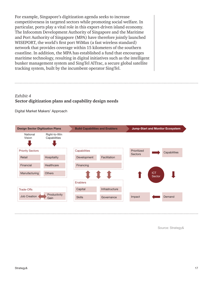For example, Singapore's digitization agenda seeks to increase competitiveness in targeted sectors while promoting social welfare. In particular, ports play a vital role in this export-driven island economy. The Infocomm Development Authority of Singapore and the Maritime and Port Authority of Singapore (MPA) have therefore jointly launched WISEPORT, the world's first port WiMax (a fast wireless standard) network that provides coverage within 15 kilometers of the southern coastline. In addition, the MPA has established a fund that encourages maritime technology, resulting in digital initiatives such as the intelligent bunker management system and SingTel AlTrac, a secure global satellite tracking system, built by the incumbent operator SingTel.

## *Exhibit 4* **Sector digitization plans and capability design needs**

Digital Market Makers' Approach



Source: Strategy&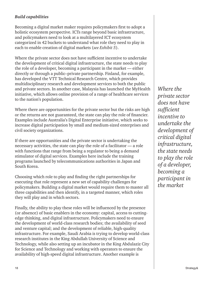## *Build capabilities*

Becoming a digital market maker requires policymakers first to adopt a holistic ecosystem perspective. ICTs range beyond basic infrastructure, and policymakers need to look at a multilayered ICT ecosystem categorized in 42 buckets to understand what role they need to play in each to enable creation of digital markets (*see Exhibit 5*).

Where the private sector does not have sufficient incentive to undertake the development of critical digital infrastructure, the state needs to play the role of a developer, becoming a participant in the market — either directly or through a public–private partnership. Finland, for example, has developed the VTT Technical Research Centre, which provides multidisciplinary research and development services to both the public and private sectors. In another case, Malaysia has launched the MyHealth initiative, which allows online provision of a range of healthcare services to the nation's population.

Where there are opportunities for the private sector but the risks are high or the returns are not guaranteed, the state can play the role of financier. Examples include Australia's Digital Enterprise initiative, which seeks to increase digital participation by small and medium-sized enterprises and civil society organizations.

If there are opportunities and the private sector is undertaking the necessary activities, the state can play the role of a facilitator — a role with functions that range from being a regulator to being a demand stimulator of digital services. Examples here include the training programs launched by telecommunications authorities in Japan and South Korea.

Choosing which role to play and finding the right partnerships for executing that role represent a new set of capability challenges for policymakers. Building a digital market would require them to master all three capabilities and then identify, in a targeted manner, which roles they will play and in which sectors.

Finally, the ability to play these roles will be influenced by the presence (or absence) of basic enablers in the economy: capital, access to cuttingedge thinking, and digital infrastructure. Policymakers need to ensure the development of world-class research bodies; the availability of seed and venture capital; and the development of reliable, high-quality infrastructure. For example, Saudi Arabia is trying to develop world-class research institutes in the King Abdullah University of Science and Technology, while also setting up an incubator in the King Abdulaziz City for Science and Technology and working with operators to ensure the availability of high-speed digital infrastructure. Another example is

*Where the private sector does not have sufficient incentive to undertake the development of critical digital infrastructure, the state needs to play the role of a developer, becoming a participant in the market*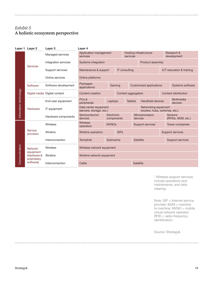## *Exhibit 5* **A holistic ecosystem perspective**

|                        | Layer 1 Layer 2                         | Layer 3                       | Layer 4                                           |             |                                          |                                                         |                           |                           |                  |                               |
|------------------------|-----------------------------------------|-------------------------------|---------------------------------------------------|-------------|------------------------------------------|---------------------------------------------------------|---------------------------|---------------------------|------------------|-------------------------------|
| Information technology | <b>Services</b>                         | Managed services              | Application management<br>services                |             |                                          | Hosting infrastructure<br>services                      |                           | Research &<br>development |                  |                               |
|                        |                                         | Integration services          | Systems integration                               |             |                                          |                                                         | Product assembly          |                           |                  |                               |
|                        |                                         | Support services              | Maintenance & support                             |             |                                          | <b>IT consulting</b>                                    |                           | ICT education & training  |                  |                               |
|                        |                                         | Online services               | Online platforms                                  |             |                                          |                                                         |                           |                           |                  |                               |
|                        | Software                                | Software development          | Packaged<br>applications                          |             | <b>Customized applications</b><br>Gaming |                                                         |                           |                           |                  | <b>Systems software</b>       |
|                        |                                         | Digital media Digital content | Content creation                                  |             | Content aggregation                      |                                                         |                           | Content distribution      |                  |                               |
|                        | Hardware                                | End-user equipment            | PC <sub>s</sub> &<br>peripherals                  |             | Laptops<br><b>Tablets</b>                |                                                         | Handheld devices          | Multimedia<br>devices     |                  |                               |
|                        |                                         | IT equipment                  | Data center equipment<br>(servers, storage, etc.) |             |                                          | Networking equipment<br>(routers, hubs, switches, etc.) |                           |                           |                  |                               |
|                        |                                         | Hardware components           | Semiconductor<br>devices                          |             | Electronic<br>components                 |                                                         | Microprocessor<br>devices |                           |                  | Sensors<br>(RFIDs, M2M, etc.) |
| Communication          | Service<br>provision                    | Wireless                      | <b>Wireless</b><br>operators                      |             | Support services<br><b>MVNOs</b>         |                                                         | Tower companies           |                           |                  |                               |
|                        |                                         | Wireline                      | Wireline operators                                | <b>ISPs</b> |                                          |                                                         |                           |                           | Support services |                               |
|                        |                                         | Interconnection               | <b>Terrestrial</b>                                | Submarine   |                                          |                                                         | <b>Satellite</b>          |                           | Support services |                               |
|                        | <b>Network</b>                          | Wireless                      | Wireless network equipment                        |             |                                          |                                                         |                           |                           |                  |                               |
|                        | equipment<br>(hardware &<br>proprietary | Wireline                      | Wireline network equipment                        |             |                                          |                                                         |                           |                           |                  |                               |
|                        | software)                               | Interconnection               | Cable                                             |             |                                          | <b>Satellite</b>                                        |                           |                           |                  |                               |

1 Wireless support services include operations and maintenance, and data clearing.

Note: ISP = Internet service provider; M2M = machine to machine; MVNO = mobile virtual network operator; RFID = radio-frequency identification.

Source: Strategy&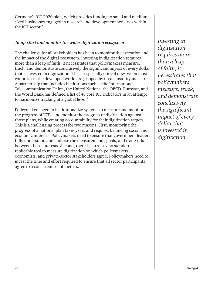Germany's ICT 2020 plan, which provides funding to small and mediumsized businesses engaged in research and development activities within the ICT sector.7

### *Jump-start and monitor the wider digitization ecosystem*

The challenge for all stakeholders has been to monitor the execution and the impact of the digital ecosystem. Investing in digitization requires more than a leap of faith; it necessitates that policymakers measure, track, and demonstrate conclusively the significant impact of every dollar that is invested in digitization. This is especially critical now, when most countries in the developed world are gripped by fiscal austerity measures. A partnership that includes institutions such as the International Telecommunication Union, the United Nations, the OECD, Eurostat, and the World Bank has defined a list of 48 core ICT indicators in an attempt to harmonize tracking at a global level.<sup>8</sup>

Policymakers need to institutionalize systems to measure and monitor the progress of ICTs, and monitor the progress of digitization against those plans, while creating accountability for their digitization targets. This is a challenging process for two reasons. First, monitoring the progress of a national plan takes years and requires balancing social and economic interests. Policymakers need to ensure that government leaders fully understand and endorse the measurements, goals, and trade-offs between these interests. Second, there is currently no standard, replicable tool to measure digitization on which policymakers, economists, and private-sector stakeholders agree. Policymakers need to invest the time and effort required to ensure that all sector participants agree to a consistent set of metrics.

*Investing in digitization requires more than a leap of faith; it necessitates that policymakers measure, track, and demonstrate conclusively the significant impact of every dollar that is invested in digitization.*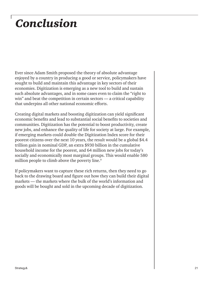## *Conclusion*

Ever since Adam Smith proposed the theory of absolute advantage enjoyed by a country in producing a good or service, policymakers have sought to build and maintain this advantage in key sectors of their economies. Digitization is emerging as a new tool to build and sustain such absolute advantages, and in some cases even to claim the "right to win" and beat the competition in certain sectors — a critical capability that underpins all other national economic efforts.

Creating digital markets and boosting digitization can yield significant economic benefits and lead to substantial social benefits to societies and communities. Digitization has the potential to boost productivity, create new jobs, and enhance the quality of life for society at large. For example, if emerging markets could double the Digitization Index score for their poorest citizens over the next 10 years, the result would be a global \$4.4 trillion gain in nominal GDP, an extra \$930 billion in the cumulative household income for the poorest, and 64 million new jobs for today's socially and economically most marginal groups. This would enable 580 million people to climb above the poverty line.<sup>9</sup>

If policymakers want to capture these rich returns, then they need to go back to the drawing board and figure out how they can build their digital markets — the markets where the bulk of the world's information and goods will be bought and sold in the upcoming decade of digitization.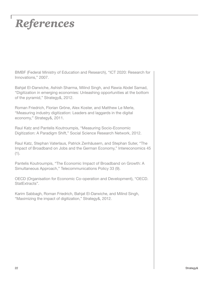## *References*

BMBF (Federal Ministry of Education and Research), "ICT 2020: Research for Innovations," 2007.

Bahjat El-Darwiche, Ashish Sharma, Milind Singh, and Rawia Abdel Samad, "Digitization in emerging economies: Unleashing opportunities at the bottom of the pyramid," Strategy&, 2012.

Roman Friedrich, Florian Gröne, Alex Koster, and Matthew Le Merle, "Measuring industry digitization: Leaders and laggards in the digital economy," Strategy&, 2011.

Raul Katz and Pantelis Koutroumpis, "Measuring Socio-Economic Digitization: A Paradigm Shift," Social Science Research Network, 2012.

Raul Katz, Stephan Vaterlaus, Patrick Zenhäusern, and Stephan Suter, "The Impact of Broadband on Jobs and the German Economy," Intereconomics 45  $(1).$ 

Pantelis Koutroumpis, "The Economic Impact of Broadband on Growth: A Simultaneous Approach," Telecommunications Policy 33 (9).

OECD (Organisation for Economic Co-operation and Development), "OECD. StatExtracts".

Karim Sabbagh, Roman Friedrich, Bahjat El-Darwiche, and Milind Singh, "Maximizing the impact of digitization," Strategy&, 2012.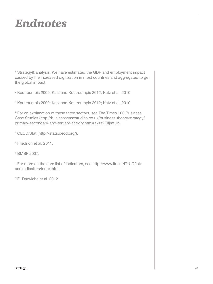## *Endnotes*

<sup>1</sup> Strategy& analysis. We have estimated the GDP and employment impact caused by the increased digitization in most countries and aggregated to get the global impact.

2 Koutroumpis 2009; Katz and Koutroumpis 2012; Katz et al. 2010.

3 Koutroumpis 2009; Katz and Koutroumpis 2012; Katz et al. 2010.

4 For an explanation of these three sectors, see The Times 100 Business Case Studies (http://businesscasestudies.co.uk/business-theory/strategy/ primary-secondary-and-tertiary-activity.html#axzz2EifjmtUr).

- 5 OECD.Stat (http://stats.oecd.org/).
- 6 Friedrich et al. 2011.

7 BMBF 2007.

<sup>8</sup> For more on the core list of indicators, see http://www.itu.int/ITU-D/ict/ coreindicators/index.html.

9 El-Darwiche et al. 2012.